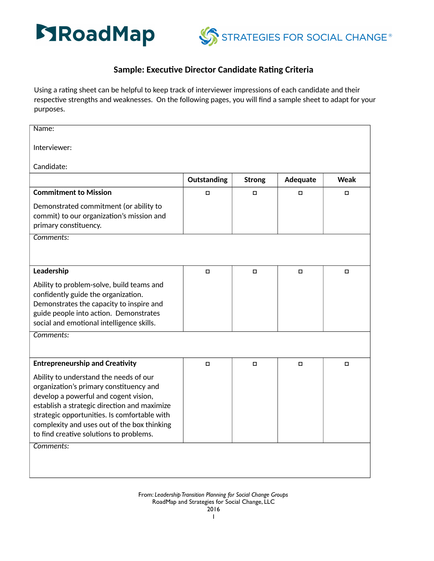



## **Sample: Executive Director Candidate Rating Criteria**

Using a rating sheet can be helpful to keep track of interviewer impressions of each candidate and their respective strengths and weaknesses. On the following pages, you will find a sample sheet to adapt for your purposes.

| Name:                                                                                                                                                                                                                                                                                                                |             |               |          |             |
|----------------------------------------------------------------------------------------------------------------------------------------------------------------------------------------------------------------------------------------------------------------------------------------------------------------------|-------------|---------------|----------|-------------|
| Interviewer:                                                                                                                                                                                                                                                                                                         |             |               |          |             |
| Candidate:                                                                                                                                                                                                                                                                                                           |             |               |          |             |
|                                                                                                                                                                                                                                                                                                                      | Outstanding | <b>Strong</b> | Adequate | <b>Weak</b> |
| <b>Commitment to Mission</b>                                                                                                                                                                                                                                                                                         | $\Box$      | $\Box$        | $\Box$   | $\Box$      |
| Demonstrated commitment (or ability to<br>commit) to our organization's mission and<br>primary constituency.                                                                                                                                                                                                         |             |               |          |             |
| Comments:                                                                                                                                                                                                                                                                                                            |             |               |          |             |
|                                                                                                                                                                                                                                                                                                                      |             |               |          |             |
| Leadership                                                                                                                                                                                                                                                                                                           | $\Box$      | $\Box$        | $\Box$   | $\Box$      |
| Ability to problem-solve, build teams and<br>confidently guide the organization.<br>Demonstrates the capacity to inspire and<br>guide people into action. Demonstrates<br>social and emotional intelligence skills.                                                                                                  |             |               |          |             |
| Comments:                                                                                                                                                                                                                                                                                                            |             |               |          |             |
|                                                                                                                                                                                                                                                                                                                      |             |               |          |             |
| <b>Entrepreneurship and Creativity</b>                                                                                                                                                                                                                                                                               | $\Box$      | $\Box$        | $\Box$   | $\Box$      |
| Ability to understand the needs of our<br>organization's primary constituency and<br>develop a powerful and cogent vision,<br>establish a strategic direction and maximize<br>strategic opportunities. Is comfortable with<br>complexity and uses out of the box thinking<br>to find creative solutions to problems. |             |               |          |             |
| Comments:                                                                                                                                                                                                                                                                                                            |             |               |          |             |
|                                                                                                                                                                                                                                                                                                                      |             |               |          |             |
|                                                                                                                                                                                                                                                                                                                      |             |               |          |             |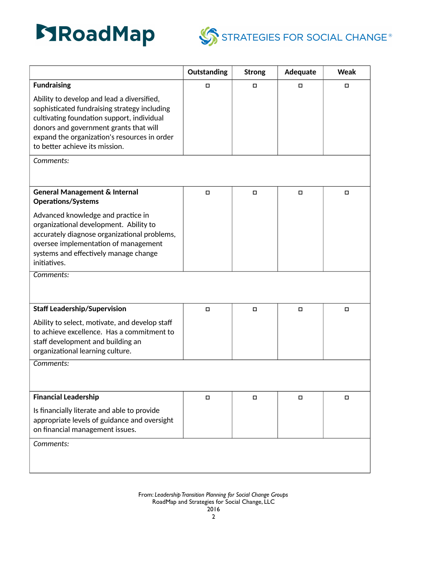



|                                                                                                                                                                                                                                                                      | Outstanding | <b>Strong</b> | Adequate | Weak   |
|----------------------------------------------------------------------------------------------------------------------------------------------------------------------------------------------------------------------------------------------------------------------|-------------|---------------|----------|--------|
| <b>Fundraising</b>                                                                                                                                                                                                                                                   | $\Box$      | $\Box$        | $\Box$   | $\Box$ |
| Ability to develop and lead a diversified,<br>sophisticated fundraising strategy including<br>cultivating foundation support, individual<br>donors and government grants that will<br>expand the organization's resources in order<br>to better achieve its mission. |             |               |          |        |
| Comments:                                                                                                                                                                                                                                                            |             |               |          |        |
| <b>General Management &amp; Internal</b><br><b>Operations/Systems</b>                                                                                                                                                                                                | $\Box$      | $\Box$        | $\Box$   | $\Box$ |
| Advanced knowledge and practice in<br>organizational development. Ability to<br>accurately diagnose organizational problems,<br>oversee implementation of management<br>systems and effectively manage change<br>initiatives.                                        |             |               |          |        |
| Comments:                                                                                                                                                                                                                                                            |             |               |          |        |
| <b>Staff Leadership/Supervision</b>                                                                                                                                                                                                                                  | $\Box$      | $\Box$        | $\Box$   | $\Box$ |
| Ability to select, motivate, and develop staff<br>to achieve excellence. Has a commitment to<br>staff development and building an<br>organizational learning culture.                                                                                                |             |               |          |        |
| Comments:                                                                                                                                                                                                                                                            |             |               |          |        |
| <b>Financial Leadership</b>                                                                                                                                                                                                                                          | о           | $\Box$        | 0        | 0      |
| Is financially literate and able to provide<br>appropriate levels of guidance and oversight<br>on financial management issues.                                                                                                                                       |             |               |          |        |
| Comments:                                                                                                                                                                                                                                                            |             |               |          |        |